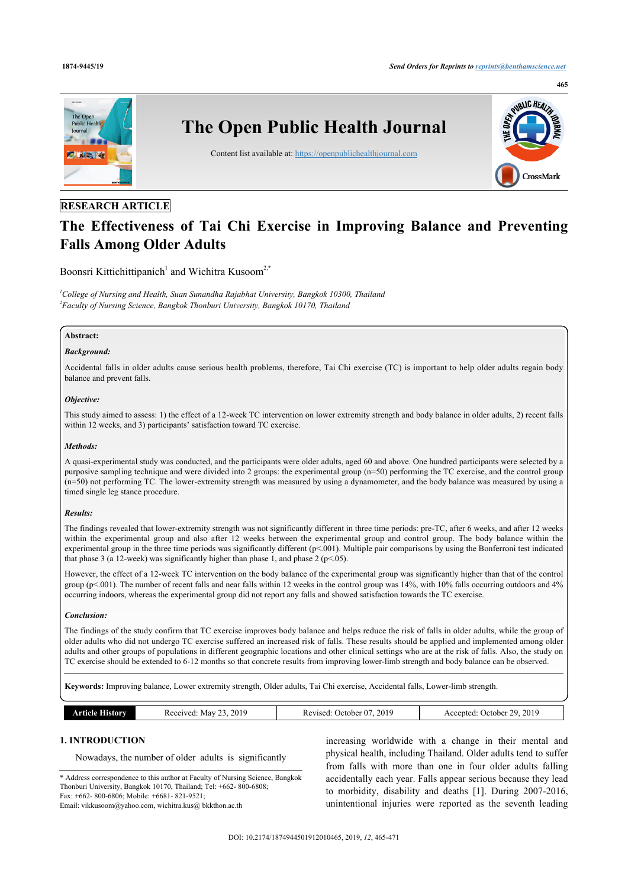

## **RESEARCH ARTICLE**

# **The Effectiveness of Tai Chi Exercise in Improving Balance and Preventing Falls Among Older Adults**

Boonsri Kittichittipanich<sup>[1](#page-0-0)</sup> and Wichitra Kusoom<sup>[2,](#page-0-1)[\\*](#page-0-2)</sup>

<span id="page-0-1"></span><span id="page-0-0"></span>*<sup>1</sup>College of Nursing and Health, Suan Sunandha Rajabhat University, Bangkok 10300, Thailand 2 Faculty of Nursing Science, Bangkok Thonburi University, Bangkok 10170, Thailand*

## **Abstract:**

### *Background:*

Accidental falls in older adults cause serious health problems, therefore, Tai Chi exercise (TC) is important to help older adults regain body balance and prevent falls.

#### *Objective:*

This study aimed to assess: 1) the effect of a 12-week TC intervention on lower extremity strength and body balance in older adults, 2) recent falls within 12 weeks, and 3) participants' satisfaction toward TC exercise.

#### *Methods:*

A quasi-experimental study was conducted, and the participants were older adults, aged 60 and above. One hundred participants were selected by a purposive sampling technique and were divided into 2 groups: the experimental group (n=50) performing the TC exercise, and the control group (n=50) not performing TC. The lower-extremity strength was measured by using a dynamometer, and the body balance was measured by using a timed single leg stance procedure.

#### *Results:*

The findings revealed that lower-extremity strength was not significantly different in three time periods: pre-TC, after 6 weeks, and after 12 weeks within the experimental group and also after 12 weeks between the experimental group and control group. The body balance within the experimental group in the three time periods was significantly different (p<.001). Multiple pair comparisons by using the Bonferroni test indicated that phase 3 (a 12-week) was significantly higher than phase 1, and phase 2 ( $p$  < .05).

However, the effect of a 12-week TC intervention on the body balance of the experimental group was significantly higher than that of the control group ( $p<.001$ ). The number of recent falls and near falls within 12 weeks in the control group was 14%, with 10% falls occurring outdoors and 4% occurring indoors, whereas the experimental group did not report any falls and showed satisfaction towards the TC exercise.

#### *Conclusion:*

The findings of the study confirm that TC exercise improves body balance and helps reduce the risk of falls in older adults, while the group of older adults who did not undergo TC exercise suffered an increased risk of falls. These results should be applied and implemented among older adults and other groups of populations in different geographic locations and other clinical settings who are at the risk of falls. Also, the study on TC exercise should be extended to 6-12 months so that concrete results from improving lower-limb strength and body balance can be observed.

**Keywords:** Improving balance, Lower extremity strength, Older adults, Tai Chi exercise, Accidental falls, Lower-limb strength.

| History<br>tīcie | 2019<br>Received<br>Mav<br>$\sim$<br>. | . 201 $\mathbf{c}$<br>$\sim$<br>. )etober .<br>Revised:<br>U. | 201<br>20.<br>. )ctober<br>:cented<br>- 11<br>____<br>$\sim$ $\sim$ |
|------------------|----------------------------------------|---------------------------------------------------------------|---------------------------------------------------------------------|

## **1. INTRODUCTION**

Nowadays, the number of older adults is significantly

<span id="page-0-2"></span>\* Address correspondence to this author at Faculty of Nursing Science, Bangkok Thonburi University, Bangkok 10170, Thailand; Tel: +662- 800-6808; Fax: +662- 800-6806; Mobile: +6681- 821-9521;

Email: [vikkusoom@yahoo.com,](mailto:vikkusoom@yahoo.com) [wichitra.kus@ bkkthon.ac.th](mailto:wichitra.kus@%20bkkthon.ac.th)

increasing worldwide with a change in their mental and physical health, including Thailand. Older adults tend to suffer from falls with more than one in four older adults falling accidentally each year. Falls appear serious because they lead to morbidity, disability and deaths [\[1](#page-5-0)]. During 2007-2016, unintentional injuries were reported as the seventh leading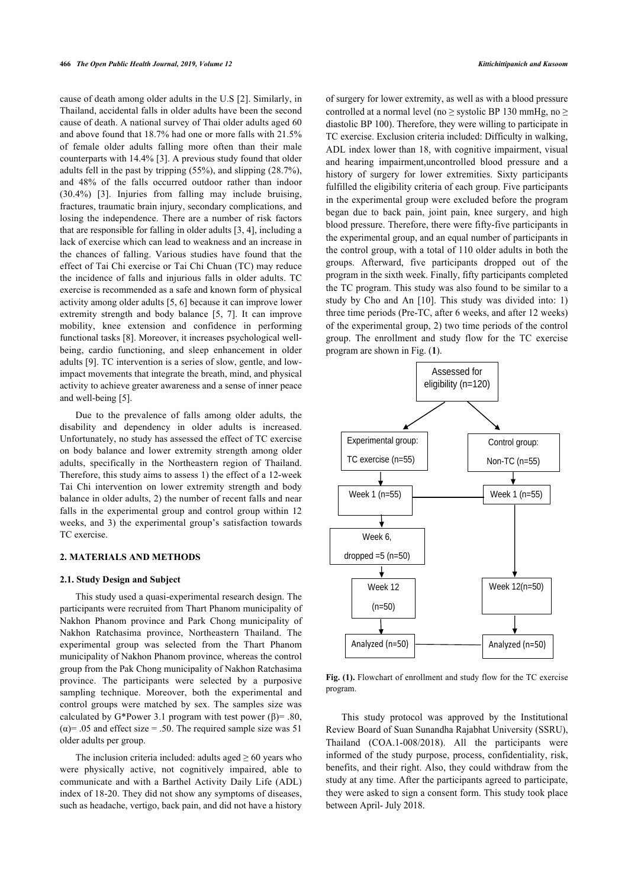cause of death among older adults in the U.S [[2](#page-5-1)]. Similarly, in Thailand, accidental falls in older adults have been the second cause of death. A national survey of Thai older adults aged 60 and above found that 18.7% had one or more falls with 21.5% of female older adults falling more often than their male counterparts with 14.4% [\[3\]](#page-5-2). A previous study found that older adults fell in the past by tripping (55%), and slipping (28.7%), and 48% of the falls occurred outdoor rather than indoor (30.4%)[[3](#page-5-2)]. Injuries from falling may include bruising, fractures, traumatic brain injury, secondary complications, and losing the independence. There are a number of risk factors that are responsible for falling in older adults [[3](#page-5-2), [4](#page-5-3)], including a lack of exercise which can lead to weakness and an increase in the chances of falling. Various studies have found that the effect of Tai Chi exercise or Tai Chi Chuan (TC) may reduce the incidence of falls and injurious falls in older adults. TC exercise is recommended as a safe and known form of physical activity among older adults [\[5,](#page-5-4) [6\]](#page-5-5) because it can improve lower extremity strength and body balance[[5](#page-5-4), [7\]](#page-5-6). It can improve mobility, knee extension and confidence in performing functional tasks [\[8\]](#page-5-7). Moreover, it increases psychological wellbeing, cardio functioning, and sleep enhancement in older adults [[9\]](#page-5-8). TC intervention is a series of slow, gentle, and lowimpact movements that integrate the breath, mind, and physical activity to achieve greater awareness and a sense of inner peace and well-being [[5](#page-5-4)].

<span id="page-1-0"></span>Due to the prevalence of falls among older adults, the disability and dependency in older adults is increased. Unfortunately, no study has assessed the effect of TC exercise on body balance and lower extremity strength among older adults, specifically in the Northeastern region of Thailand. Therefore, this study aims to assess 1) the effect of a 12-week Tai Chi intervention on lower extremity strength and body balance in older adults, 2) the number of recent falls and near falls in the experimental group and control group within 12 weeks, and 3) the experimental group's satisfaction towards TC exercise.

## **2. MATERIALS AND METHODS**

#### **2.1. Study Design and Subject**

This study used a quasi-experimental research design. The participants were recruited from Thart Phanom municipality of Nakhon Phanom province and Park Chong municipality of Nakhon Ratchasima province, Northeastern Thailand. The experimental group was selected from the Thart Phanom municipality of Nakhon Phanom province, whereas the control group from the Pak Chong municipality of Nakhon Ratchasima province. The participants were selected by a purposive sampling technique. Moreover, both the experimental and control groups were matched by sex. The samples size was calculated by G\*Power 3.1 program with test power (β)= .80,  $(\alpha)$ = .05 and effect size = .50. The required sample size was 51 older adults per group.

The inclusion criteria included: adults aged  $> 60$  years who were physically active, not cognitively impaired, able to communicate and with a Barthel Activity Daily Life (ADL) index of 18-20. They did not show any symptoms of diseases, such as headache, vertigo, back pain, and did not have a history of surgery for lower extremity, as well as with a blood pressure controlled at a normal level (no  $>$  systolic BP 130 mmHg, no  $>$ diastolic BP 100). Therefore, they were willing to participate in TC exercise. Exclusion criteria included: Difficulty in walking, ADL index lower than 18, with cognitive impairment, visual and hearing impairment,uncontrolled blood pressure and a history of surgery for lower extremities. Sixty participants fulfilled the eligibility criteria of each group. Five participants in the experimental group were excluded before the program began due to back pain, joint pain, knee surgery, and high blood pressure. Therefore, there were fifty-five participants in the experimental group, and an equal number of participants in the control group, with a total of 110 older adults in both the groups. Afterward, five participants dropped out of the program in the sixth week. Finally, fifty participants completed the TC program. This study was also found to be similar to a study by Cho and An [\[10](#page-6-0)]. This study was divided into: 1) three time periods (Pre-TC, after 6 weeks, and after 12 weeks) of the experimental group, 2) two time periods of the control group. The enrollment and study flow for the TC exercise program are shown in Fig. (**[1](#page-1-0)**).



Fig. (1). Flowchart of enrollment and study flow for the TC exercise program.

This study protocol was approved by the Institutional Review Board of Suan Sunandha Rajabhat University (SSRU), Thailand (COA.1-008/2018). All the participants were informed of the study purpose, process, confidentiality, risk, benefits, and their right. Also, they could withdraw from the study at any time. After the participants agreed to participate, they were asked to sign a consent form. This study took place between April- July 2018.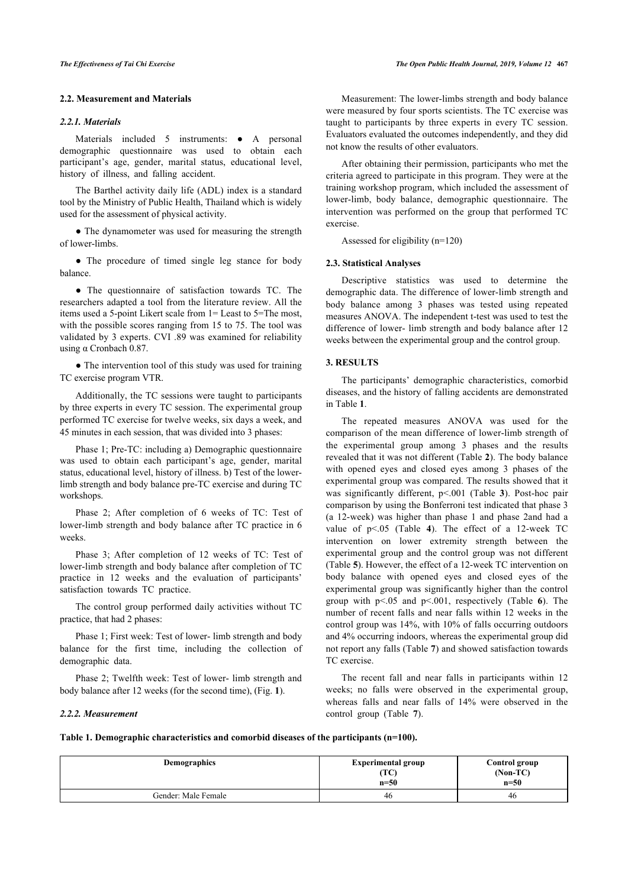## **2.2. Measurement and Materials**

## *2.2.1. Materials*

Materials included 5 instruments: • A personal demographic questionnaire was used to obtain each participant's age, gender, marital status, educational level, history of illness, and falling accident.

The Barthel activity daily life (ADL) index is a standard tool by the Ministry of Public Health, Thailand which is widely used for the assessment of physical activity.

• The dynamometer was used for measuring the strength of lower-limbs.

• The procedure of timed single leg stance for body balance.

• The questionnaire of satisfaction towards TC. The researchers adapted a tool from the literature review. All the items used a 5-point Likert scale from 1= Least to 5=The most, with the possible scores ranging from 15 to 75. The tool was validated by 3 experts. CVI .89 was examined for reliability using α Cronbach 0.87.

• The intervention tool of this study was used for training TC exercise program VTR.

Additionally, the TC sessions were taught to participants by three experts in every TC session. The experimental group performed TC exercise for twelve weeks, six days a week, and 45 minutes in each session, that was divided into 3 phases:

Phase 1; Pre-TC: including a) Demographic questionnaire was used to obtain each participant's age, gender, marital status, educational level, history of illness. b) Test of the lowerlimb strength and body balance pre-TC exercise and during TC workshops.

Phase 2; After completion of 6 weeks of TC: Test of lower-limb strength and body balance after TC practice in 6 weeks.

Phase 3; After completion of 12 weeks of TC: Test of lower-limb strength and body balance after completion of TC practice in 12 weeks and the evaluation of participants' satisfaction towards TC practice.

The control group performed daily activities without TC practice, that had 2 phases:

Phase 1; First week: Test of lower- limb strength and body balance for the first time, including the collection of demographic data.

Phase 2; Twelfth week: Test of lower- limb stren[gt](#page-1-0)h and body balance after 12 weeks (for the second time), (Fig. **1**).

#### *The Effectiveness of Tai Chi Exercise The Open Public Health Journal, 2019, Volume 12* **467**

Measurement: The lower-limbs strength and body balance were measured by four sports scientists. The TC exercise was taught to participants by three experts in every TC session. Evaluators evaluated the outcomes independently, and they did not know the results of other evaluators.

After obtaining their permission, participants who met the criteria agreed to participate in this program. They were at the training workshop program, which included the assessment of lower-limb, body balance, demographic questionnaire. The intervention was performed on the group that performed TC exercise.

Assessed for eligibility (n=120)

## **2.3. Statistical Analyses**

Descriptive statistics was used to determine the demographic data. The difference of lower-limb strength and body balance among 3 phases was tested using repeated measures ANOVA. The independent t-test was used to test the difference of lower- limb strength and body balance after 12 weeks between the experimental group and the control group.

## **3. RESULTS**

The participants' demographic characteristics, comorbid diseases, and the history of falling accidents are demonstrated in Table **[1](#page-2-0)**.

The repeated measures ANOVA was used for the comparison of the mean difference of lower-limb strength of the experimental group among 3 phases and the results revealed that it was not different (Table **[2](#page-3-0)**). The body balance with opened eyes and closed eyes among 3 phases of the experimental group was compared. The results showed that it was significantly different, p<.001 (Table**3**). Post-hoc pair comparison by using the Bonferroni test indicated that phase 3 (a 12-week) was higher than phase 1 and phase 2and had a value of p<.05 (Table**4**). The effect of a 12-week TC intervention on lower extremity strength between the experimental group and the control group was not different (Table **[5](#page-4-0)**). However, the effect of a 12-week TC intervention on body balance with opened eyes and closed eyes of the experimental group was significantly higher than the control group with p<.05 and p<.001, respectively (Table**6**). The number of recent falls and near falls within 12 weeks in the control group was 14%, with 10% of falls occurring outdoors and 4% occurring indoors, whereas the experimental group did not report any falls (Table **[7](#page-4-2)**) and showed satisfaction towards TC exercise.

The recent fall and near falls in participants within 12 weeks; no falls were observed in the experimental group, whereas falls and near falls of 14% were observed in the control group (Table**7**).

## *2.2.2. Measurement*

<span id="page-2-0"></span>**Table 1. Demographic characteristics and comorbid diseases of the participants (n=100).**

| Demographics        | <b>Experimental group</b><br>(TC)<br>$n=50$ | Control group<br>$(Non-TC)$<br>$n=50$ |  |
|---------------------|---------------------------------------------|---------------------------------------|--|
| Gender: Male Female | 46                                          | 46                                    |  |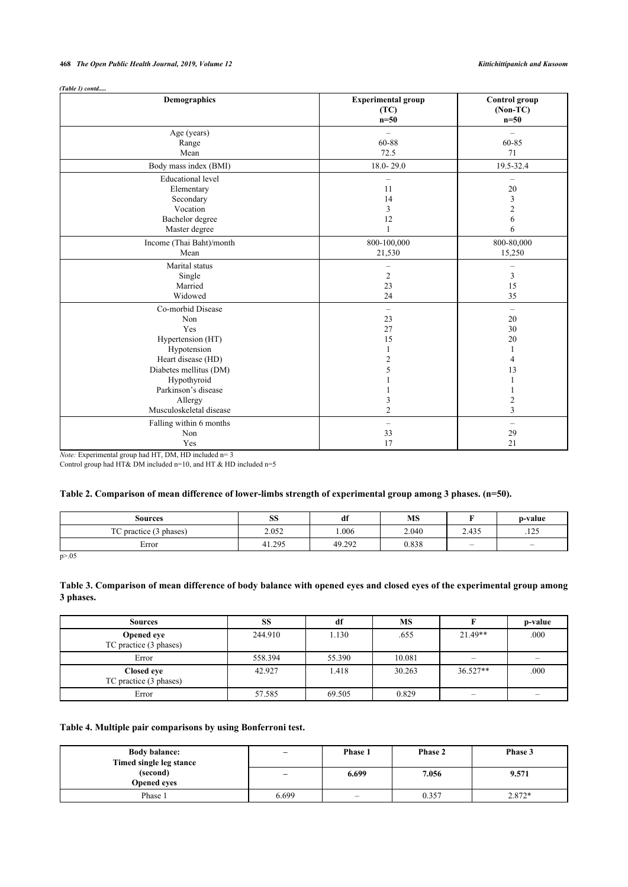## **468** *The Open Public Health Journal, 2019, Volume 12 Kittichittipanich and Kusoom*

| (Table 1) contd |  |
|-----------------|--|

| Demographics                                                                                                                                                                                    | <b>Experimental group</b><br>(TC)<br>$n=50$                          | <b>Control</b> group<br>$(Non-TC)$<br>$n=50$                                          |
|-------------------------------------------------------------------------------------------------------------------------------------------------------------------------------------------------|----------------------------------------------------------------------|---------------------------------------------------------------------------------------|
| Age (years)<br>Range                                                                                                                                                                            | $=$<br>60-88                                                         | $\overline{\phantom{0}}$<br>60-85                                                     |
| Mean                                                                                                                                                                                            | 72.5                                                                 | 71                                                                                    |
| Body mass index (BMI)                                                                                                                                                                           | 18.0-29.0                                                            | 19.5-32.4                                                                             |
| <b>Educational</b> level<br>Elementary<br>Secondary<br>Vocation<br>Bachelor degree                                                                                                              | $\overline{\phantom{0}}$<br>11<br>14<br>3<br>12<br>$\mathbf{1}$      | $\qquad \qquad$<br>20<br>3<br>$\boldsymbol{2}$<br>6<br>6                              |
| Master degree<br>Income (Thai Baht)/month<br>Mean                                                                                                                                               | 800-100,000<br>21,530                                                | 800-80,000<br>15,250                                                                  |
| Marital status<br>Single<br>Married<br>Widowed                                                                                                                                                  | $\qquad \qquad -$<br>$\overline{c}$<br>23<br>24                      | $\qquad \qquad -$<br>3<br>15<br>35                                                    |
| Co-morbid Disease<br>Non<br>Yes<br>Hypertension (HT)<br>Hypotension<br>Heart disease (HD)<br>Diabetes mellitus (DM)<br>Hypothyroid<br>Parkinson's disease<br>Allergy<br>Musculoskeletal disease | $\qquad \qquad -$<br>23<br>27<br>15<br>2<br>5<br>3<br>$\overline{2}$ | $\overline{\phantom{0}}$<br>20<br>30<br>20<br>4<br>13<br>$\overline{\mathbf{c}}$<br>3 |
| Falling within 6 months<br>Non<br>Yes<br><i>Note:</i> Experimental group had HT, DM, HD included $n=3$                                                                                          | -<br>33<br>17                                                        | $\qquad \qquad -$<br>29<br>21                                                         |

Control group had HT& DM included n=10, and HT & HD included n=5

## <span id="page-3-0"></span>**Table 2. Comparison of mean difference of lower-limbs strength of experimental group among 3 phases. (n=50).**

| Sources                | SS     | df     | MS    |                          | p-value                        |
|------------------------|--------|--------|-------|--------------------------|--------------------------------|
| TC practice (3 phases) | 2.052  | .006   | 2.040 | 2.435                    | $1 \cap \mathcal{L}$<br>ر ۱۰ د |
| Error                  | 41.295 | 49.292 | 0.838 | $\overline{\phantom{0}}$ | $\overline{\phantom{0}}$       |

p>.05

## <span id="page-3-1"></span>**Table 3. Comparison of mean difference of body balance with opened eyes and closed eyes of the experimental group among 3 phases.**

| <b>Sources</b>                       | SS      | df     | <b>MS</b> |           | p-value |
|--------------------------------------|---------|--------|-----------|-----------|---------|
| Opened eye<br>TC practice (3 phases) | 244.910 | 1.130  | .655      | $21.49**$ | .000    |
| Error                                | 558.394 | 55.390 | 10.081    |           |         |
| Closed eye<br>TC practice (3 phases) | 42.927  | 1.418  | 30.263    | 36.527**  | .000    |
| Error                                | 57.585  | 69.505 | 0.829     | -         |         |

## <span id="page-3-2"></span>**Table 4. Multiple pair comparisons by using Bonferroni test.**

| <b>Body balance:</b><br>Timed single leg stance |                          | Phase 1                  | Phase 2 | Phase 3 |
|-------------------------------------------------|--------------------------|--------------------------|---------|---------|
| (second)<br><b>Opened eves</b>                  | $\overline{\phantom{a}}$ | 6.699                    | 7.056   | 9.571   |
| Phase 1                                         | 6.699                    | $\overline{\phantom{0}}$ | 0.357   | 2.872*  |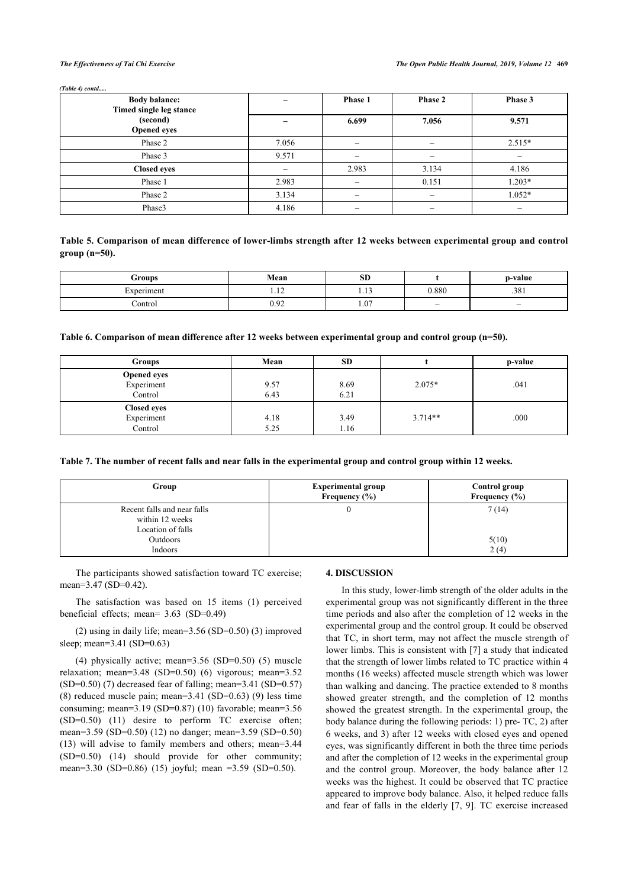#### *(Table 4) contd.....*

| <b>Body balance:</b><br>Timed single leg stance |       | Phase 1 | Phase 2 | Phase 3  |
|-------------------------------------------------|-------|---------|---------|----------|
| (second)<br><b>Opened</b> eyes                  |       | 6.699   | 7.056   | 9.571    |
| Phase 2                                         | 7.056 |         |         | $2.515*$ |
| Phase 3                                         | 9.571 |         |         |          |
| <b>Closed eyes</b>                              |       | 2.983   | 3.134   | 4.186    |
| Phase 1                                         | 2.983 |         | 0.151   | $1.203*$ |
| Phase 2                                         | 3.134 |         |         | $1.052*$ |
| Phase3                                          | 4.186 |         |         | -        |

<span id="page-4-0"></span>**Table 5. Comparison of mean difference of lower-limbs strength after 12 weeks between experimental group and control group (n=50).**

| Groups     | Mean           | $\alpha$ <sub>D</sub><br>SD. |                          | p-value                  |
|------------|----------------|------------------------------|--------------------------|--------------------------|
| Experiment | $\sim$<br>1.14 |                              | 0.880                    | .381                     |
| control    | 0.92           | 1.07                         | $\overline{\phantom{a}}$ | $\overline{\phantom{0}}$ |

<span id="page-4-1"></span>**Table 6. Comparison of mean difference after 12 weeks between experimental group and control group (n=50).**

| <b>Groups</b>      | Mean | <b>SD</b> |           | p-value |
|--------------------|------|-----------|-----------|---------|
| <b>Opened eyes</b> |      |           |           |         |
| Experiment         | 9.57 | 8.69      | $2.075*$  | .041    |
| Control            | 6.43 | 6.21      |           |         |
| <b>Closed eyes</b> |      |           |           |         |
| Experiment         | 4.18 | 3.49      | $3.714**$ | .000    |
| Control            | 5.25 | 1.16      |           |         |

<span id="page-4-2"></span>**Table 7. The number of recent falls and near falls in the experimental group and control group within 12 weeks.**

| Group                                                                                      | <b>Experimental group</b><br>Frequency $(\% )$ | Control group<br>Frequency $(\% )$ |
|--------------------------------------------------------------------------------------------|------------------------------------------------|------------------------------------|
| Recent falls and near falls<br>within 12 weeks<br>Location of falls<br>Outdoors<br>Indoors |                                                | 7(14)<br>5(10)<br>2(4)             |

The participants showed satisfaction toward TC exercise; mean=3.47 (SD=0.42).

The satisfaction was based on 15 items (1) perceived beneficial effects; mean= 3.63 (SD=0.49)

(2) using in daily life; mean=3.56 (SD=0.50) (3) improved sleep; mean=3.41 (SD=0.63)

(4) physically active; mean=3.56 (SD=0.50) (5) muscle relaxation; mean=3.48 (SD=0.50) (6) vigorous; mean=3.52 (SD=0.50) (7) decreased fear of falling; mean=3.41 (SD=0.57) (8) reduced muscle pain; mean=3.41 (SD=0.63) (9) less time consuming; mean=3.19 (SD=0.87) (10) favorable; mean=3.56 (SD=0.50) (11) desire to perform TC exercise often; mean=3.59 (SD=0.50) (12) no danger; mean=3.59 (SD=0.50) (13) will advise to family members and others; mean=3.44 (SD=0.50) (14) should provide for other community; mean=3.30 (SD=0.86) (15) joyful; mean =3.59 (SD=0.50).

## **4. DISCUSSION**

In this study, lower-limb strength of the older adults in the experimental group was not significantly different in the three time periods and also after the completion of 12 weeks in the experimental group and the control group. It could be observed that TC, in short term, may not affect the muscle strength of lower limbs. This is consistent with [\[7\]](#page-5-6) a study that indicated that the strength of lower limbs related to TC practice within 4 months (16 weeks) affected muscle strength which was lower than walking and dancing. The practice extended to 8 months showed greater strength, and the completion of 12 months showed the greatest strength. In the experimental group, the body balance during the following periods: 1) pre- TC, 2) after 6 weeks, and 3) after 12 weeks with closed eyes and opened eyes, was significantly different in both the three time periods and after the completion of 12 weeks in the experimental group and the control group. Moreover, the body balance after 12 weeks was the highest. It could be observed that TC practice appeared to improve body balance. Also, it helped reduce falls and fear of falls in the elderly [\[7,](#page-5-6) [9](#page-5-8)]. TC exercise increased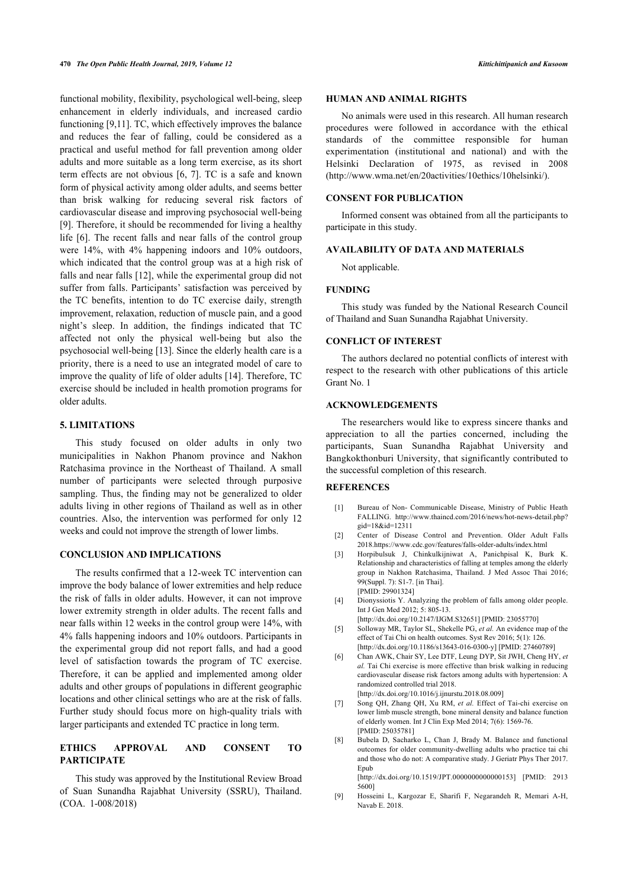functional mobility, flexibility, psychological well-being, sleep enhancement in elderly individuals, and increased cardio functioning [[9](#page-5-8),[11\]](#page-6-1). TC, which effectively improves the balance and reduces the fear of falling, could be considered as a practical and useful method for fall prevention among older adults and more suitable as a long term exercise, as its short term effects are not obvious [[6](#page-5-5), [7](#page-5-6)]. TC is a safe and known form of physical activity among older adults, and seems better than brisk walking for reducing several risk factors of cardiovascular disease and improving psychosocial well-being [[9](#page-5-8)]. Therefore, it should be recommended for living a healthy life[[6](#page-5-5)]. The recent falls and near falls of the control group were 14%, with 4% happening indoors and 10% outdoors, which indicated that the control group was at a high risk of falls and near falls [\[12](#page-6-2)], while the experimental group did not suffer from falls. Participants' satisfaction was perceived by the TC benefits, intention to do TC exercise daily, strength improvement, relaxation, reduction of muscle pain, and a good night's sleep. In addition, the findings indicated that TC affected not only the physical well-being but also the psychosocial well-being [[13\]](#page-6-0). Since the elderly health care is a priority, there is a need to use an integrated model of care to improve the quality of life of older adults [\[14\]](#page-6-3). Therefore, TC exercise should be included in health promotion programs for older adults.

## **5. LIMITATIONS**

This study focused on older adults in only two municipalities in Nakhon Phanom province and Nakhon Ratchasima province in the Northeast of Thailand. A small number of participants were selected through purposive sampling. Thus, the finding may not be generalized to older adults living in other regions of Thailand as well as in other countries. Also, the intervention was performed for only 12 weeks and could not improve the strength of lower limbs.

## <span id="page-5-2"></span><span id="page-5-1"></span><span id="page-5-0"></span>**CONCLUSION AND IMPLICATIONS**

<span id="page-5-5"></span><span id="page-5-4"></span><span id="page-5-3"></span>The results confirmed that a 12-week TC intervention can improve the body balance of lower extremities and help reduce the risk of falls in older adults. However, it can not improve lower extremity strength in older adults. The recent falls and near falls within 12 weeks in the control group were 14%, with 4% falls happening indoors and 10% outdoors. Participants in the experimental group did not report falls, and had a good level of satisfaction towards the program of TC exercise. Therefore, it can be applied and implemented among older adults and other groups of populations in different geographic locations and other clinical settings who are at the risk of falls. Further study should focus more on high-quality trials with larger participants and extended TC practice in long term.

## <span id="page-5-7"></span><span id="page-5-6"></span>**ETHICS APPROVAL AND CONSENT TO PARTICIPATE**

<span id="page-5-8"></span>This study was approved by the Institutional Review Broad of Suan Sunandha Rajabhat University (SSRU), Thailand. (COA. 1-008/2018)

## **HUMAN AND ANIMAL RIGHTS**

No animals were used in this research. All human research procedures were followed in accordance with the ethical standards of the committee responsible for human experimentation (institutional and national) and with the Helsinki Declaration of 1975, as revised in 2008 ([http://www.wma.net/en/20activities/10ethics/10helsinki/\)](http://www.wma.net/en/20activities/10ethics/10helsinki/).

## **CONSENT FOR PUBLICATION**

Informed consent was obtained from all the participants to participate in this study.

## **AVAILABILITY OF DATA AND MATERIALS**

Not applicable.

## **FUNDING**

This study was funded by the National Research Council of Thailand and Suan Sunandha Rajabhat University.

## **CONFLICT OF INTEREST**

The authors declared no potential conflicts of interest with respect to the research with other publications of this article Grant No. 1

## **ACKNOWLEDGEMENTS**

The researchers would like to express sincere thanks and appreciation to all the parties concerned, including the participants, Suan Sunandha Rajabhat University and Bangkokthonburi University, that significantly contributed to the successful completion of this research.

### **REFERENCES**

- [1] Bureau of Non- Communicable Disease, Ministry of Public Heath FALLING. [http://www.thaincd.com/2016/news/hot-news-detail.php?](http://www.thaincd.com/2016/news/hot-news-detail.php?gid=18&id=12311) [gid=18&id=12311](http://www.thaincd.com/2016/news/hot-news-detail.php?gid=18&id=12311)
- [2] Center of Disease Control and Prevention. Older Adult Falls 2018.<https://www.cdc.gov/features/falls-older-adults/index.html>
- [3] Horpibulsuk J, Chinkulkijniwat A, Panichpisal K, Burk K. Relationship and characteristics of falling at temples among the elderly group in Nakhon Ratchasima, Thailand. J Med Assoc Thai 2016; 99(Suppl. 7): S1-7. [in Thai]. [PMID: [29901324\]](http://www.ncbi.nlm.nih.gov/pubmed/29901324)
- [4] Dionyssiotis Y. Analyzing the problem of falls among older people. Int J Gen Med 2012; 5: 805-13.
	- [\[http://dx.doi.org/10.2147/IJGM.S32651\]](http://dx.doi.org/10.2147/IJGM.S32651) [PMID: [23055770\]](http://www.ncbi.nlm.nih.gov/pubmed/23055770)
- [5] Solloway MR, Taylor SL, Shekelle PG, *et al.* An evidence map of the effect of Tai Chi on health outcomes. Syst Rev 2016; 5(1): 126. [\[http://dx.doi.org/10.1186/s13643-016-0300-y\]](http://dx.doi.org/10.1186/s13643-016-0300-y) [PMID: [27460789](http://www.ncbi.nlm.nih.gov/pubmed/27460789)]
- [6] Chan AWK, Chair SY, Lee DTF, Leung DYP, Sit JWH, Cheng HY, *et al.* Tai Chi exercise is more effective than brisk walking in reducing cardiovascular disease risk factors among adults with hypertension: A randomized controlled trial 2018. [\[http://dx.doi.org/10.1016/j.ijnurstu.2018.08.009](http://dx.doi.org/10.1016/j.ijnurstu.2018.08.009)]
- [7] Song QH, Zhang QH, Xu RM, *et al.* Effect of Tai-chi exercise on lower limb muscle strength, bone mineral density and balance function of elderly women. Int J Clin Exp Med 2014; 7(6): 1569-76. [PMID: [25035781\]](http://www.ncbi.nlm.nih.gov/pubmed/25035781)
- [8] Bubela D, Sacharko L, Chan J, Brady M, Balance and functional outcomes for older community-dwelling adults who practice tai chi and those who do not: A comparative study. J Geriatr Phys Ther 2017. Epub

[\[http://dx.doi.org/10.1519/JPT.0000000000000153\]](http://dx.doi.org/10.1519/JPT.0000000000000153) [PMID: [2913](http://www.ncbi.nlm.nih.gov/pubmed/2913%205600) [5600\]](http://www.ncbi.nlm.nih.gov/pubmed/2913%205600)

[9] Hosseini L, Kargozar E, Sharifi F, Negarandeh R, Memari A-H, Navab E. 2018.